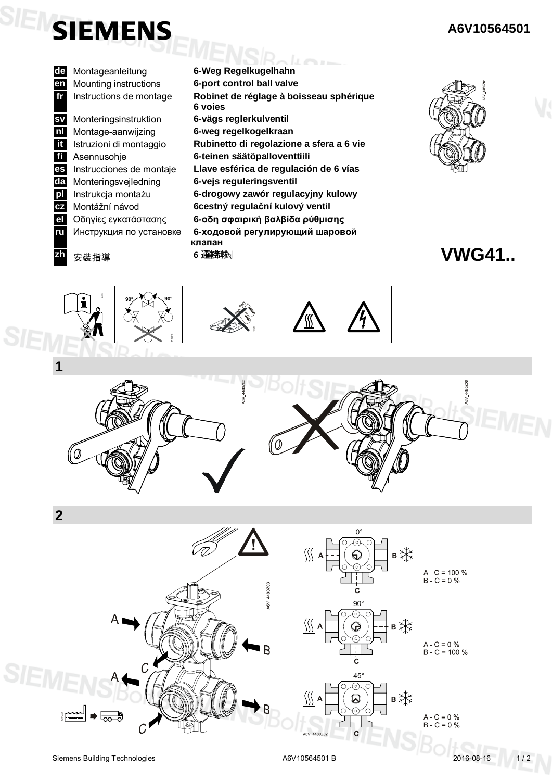

**de** Montageanleitung **en** Mounting instructions **6-port control ball valve fr** Instructions de montage **Robinet de réglage à boisseau sphérique** sva Monteringsinstruktion **Spisellställnon med vridande rörelse** rörelse rörelse rörelse rörelse rörelse rörelse rö **sv** Monteringsinstruktion **6-vägs reglerkulventil ital** Montage-aanwijzing **6-weg regelkogelkraan**<br>**11** Istruzioni di montaggio **Rubinetto di regolazior itali** Istruzioni di montaggio **Rubinetto di regolazione a sfera a 6 vie ii** Asennusohje **6-teinen säätöpalloventtiili es** Instrucciones de montaje **Llave esférica de regulación de 6 vías Novembre 1990 6-Weg Regelkugelhahn 6 voies nl** Montage-aanwijzing **da** Monteringsvejledning **6-vejs reguleringsventil pl** Instrukcja montażu **6-drogowy zawór regulacyjny kulowy cz** Montážní návod **6cestný regulaþní kulový ventil el** Οδηγίες εγκατάστασης **6-οδη σφαιρική βαλβίδα ρύθμισης ГU** Инструкция по установке 6-ходовой регулирующий шаровой клапан **zh** 安裝指導 6 通结球网



 **VWG41..**